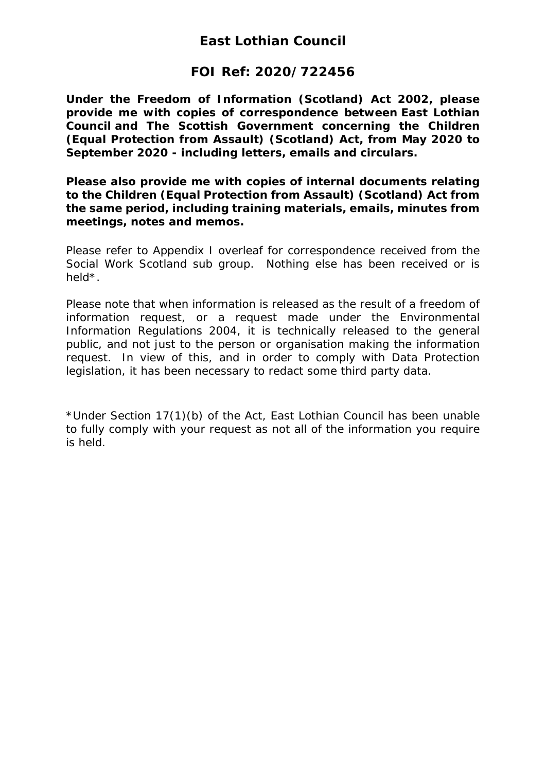### **East Lothian Council**

### **FOI Ref: 2020/722456**

*Under the Freedom of Information (Scotland) Act 2002, please provide me with copies of correspondence between East Lothian Council and The Scottish Government concerning the Children (Equal Protection from Assault) (Scotland) Act, from May 2020 to September 2020 - including letters, emails and circulars.*

*Please also provide me with copies of internal documents relating to the Children (Equal Protection from Assault) (Scotland) Act from the same period, including training materials, emails, minutes from meetings, notes and memos.*

Please refer to Appendix I overleaf for correspondence received from the Social Work Scotland sub group. Nothing else has been received or is held\*.

Please note that when information is released as the result of a freedom of information request, or a request made under the Environmental Information Regulations 2004, it is technically released to the general public, and not just to the person or organisation making the information request. In view of this, and in order to comply with Data Protection legislation, it has been necessary to redact some third party data.

\*Under Section 17(1)(b) of the Act, East Lothian Council has been unable to fully comply with your request as not all of the information you require is held.